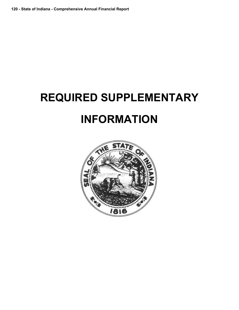# **REQUIRED SUPPLEMENTARY INFORMATION**

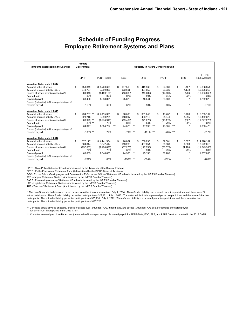## **Schedule of Funding Progress Employee Retirement Systems and Plans**

| (amounts expressed in thousands)                                                                                                                                                                                                         | Primary<br>Government                                                             |                                                                                | -------------------                                              |                                                                                      |                                                                                                          |                                           |                                                                            |
|------------------------------------------------------------------------------------------------------------------------------------------------------------------------------------------------------------------------------------------|-----------------------------------------------------------------------------------|--------------------------------------------------------------------------------|------------------------------------------------------------------|--------------------------------------------------------------------------------------|----------------------------------------------------------------------------------------------------------|-------------------------------------------|----------------------------------------------------------------------------|
|                                                                                                                                                                                                                                          | <b>SPRF</b>                                                                       | PERF - State                                                                   | <b>EGC</b>                                                       | <b>JRS</b>                                                                           | <b>PARF</b>                                                                                              | <b>LRS</b>                                | TRF - Pre-<br>1996 Account                                                 |
| Valuation Date: July 1, 2014<br>Actuarial value of assets<br>Actuarial accrued liability (AAL)<br>Excess of assets over (unfunded) AAL<br>Funded ratio<br>Covered payroll<br>Excess (unfunded) AAL as a percentage of<br>covered payroll | \$<br>459.849<br>540,797<br>(80, 948)<br>85%<br>68,490<br>$-118%$                 | \$4,720,699<br>5,889,829<br>(1, 169, 130)<br>80%<br>1,683,391<br>$-69%$        | \$<br>107.563<br>123,601<br>(16,038)<br>87%<br>25,825<br>$-62%$  | \$<br>419,568<br>464,855<br>(45, 287)<br>90%<br>46,041<br>$-98%$                     | \$.<br>\$<br>52.936<br>65,336<br>(12, 400)<br>81%<br>20,608<br>$-60%$                                    | 3.467<br>4,173<br>(706)<br>83%<br>$\star$ | \$5,358,351<br>16,355,216<br>(10,996,865)<br>33%<br>1,262,828<br>$-871%$   |
| Valuation Date: July 1, 2013<br>Actuarial value of assets<br>Actuarial accrued liability (AAL)<br>Excess of assets over (unfunded) AAL<br>Funded ratio<br>Covered payroll<br>Excess (unfunded) AAL as a percentage of<br>covered payroll | \$<br>434.287 **<br>523,216<br>$(88,929)$ **<br>$83%$ **<br>64,347<br>$-138\%$ ** | \$4,415,371<br>5,690,281<br>(1,274,910)<br>78%<br>$***$<br>1,664,757<br>$-77%$ | \$<br>98.608<br>118.097<br>(19, 489)<br>83%<br>24,675<br>$-79%$  | \$<br>381.240<br>453.110<br>(71, 870)<br>84%<br>$***$<br>47,595<br>$***$<br>$-151%$  | \$<br>\$<br>48.762<br>61,940<br>(13, 178)<br>79%<br>$***$<br>$***$<br>18,805<br>$***$<br>$-70%$<br>$***$ | 3,428<br>4,295<br>(867)<br>80%<br>$\star$ | \$5,235,104<br>16,462,379<br>(11, 227, 275)<br>32%<br>1,383,428<br>$-812%$ |
| Valuation Date: July 1, 2012<br>Actuarial value of assets<br>Actuarial accrued liability (AAL)<br>Excess of assets over (unfunded) AAL<br>Funded ratio<br>Covered payroll<br>Excess (unfunded) AAL as a percentage of<br>covered payroll | \$<br>372,177<br>504.814<br>(132, 637)<br>74%<br>66,083<br>$-201%$                | \$4,141,524<br>5.542.414<br>(1,400,890)<br>75%<br>1,648,023<br>$-85%$          | \$<br>76.007<br>113.283<br>(37, 276)<br>67%<br>24,300<br>$-153%$ | \$<br>260.096<br>437.854<br>(177, 758)<br>59%<br>$***$<br>45,138<br>$***$<br>$-394%$ | \$<br>\$<br>27.501<br>56.080<br>(28, 579)<br>49%<br>21,705<br>$-132%$                                    | 3,377<br>4.503<br>(1, 126)<br>75%         | \$4,978,107<br>16.522.015<br>(11,543,908)<br>30%<br>1,637,066<br>$-705%$   |

SPRF - State Police Retirement Fund (Administered by the Treasurer of the State of Indiana)

PERF - Public Employees' Retirement Fund (Administered by the INPRS Board of Trustees)

EGC - Excise Police, Gaming Agent and Conservation Enforcement Officers' Retirement Fund (Administered by the INPRS Board of Trustees)

JRS - Judges' Retirement System (Administered by the INPRS Board of Trustees)

PARF - Prosecuting Attorneys' Retirement Fund (Administered by the INPRS Board of Trustees)

LRS - Legislators' Retirement System (Administered by the INPRS Board of Trustees)

TRF - Teachers' Retirement Fund (Administered by the INPRS Board of Trustees)

\* The benefit formula is determined based on service rather than compensation. July 1, 2014: The unfunded liability is expressed per active participant and there were 24 active participants. The unfunded liability per active participant was \$29,401; July 1, 2013: The unfunded liability is expressed per active participant and there were 24 active participants. The unfunded liability per active participant was \$36,139; July 1, 2012: The unfunded liability is expressed per active participant and there were 6 active participants. The unfunded liability per active participant was \$187,726.

\*\* Corrected actuarial value of assets, excess of assets over (unfunded) AAL, funded ratio, and excess (unfunded) AAL as a percentage of covered payroll for SPRF from that reported in the 2013 CAFR.

\*\*\* Corrected covered payroll and/or excess (unfunded) AAL as a percentage of covered payroll for PERF-State, EGC, JRS, and PARF from that reported in the 2013 CAFR.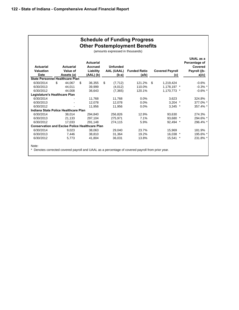|                                                       |                                            |                                                                | (amounts expressed in thousands)                | <b>Schedule of Funding Progress</b><br><b>Other Postemployment Benefits</b>                      |                               |                                                                |
|-------------------------------------------------------|--------------------------------------------|----------------------------------------------------------------|-------------------------------------------------|--------------------------------------------------------------------------------------------------|-------------------------------|----------------------------------------------------------------|
| <b>Actuarial</b><br><b>Valuation</b><br><b>Date</b>   | <b>Actuarial</b><br>Value of<br>Assets (a) | <b>Actuarial</b><br><b>Accrued</b><br>Liability<br>$(AAL)$ (b) | <b>Unfunded</b><br><b>AAL (UAAL)</b><br>$(b-a)$ | <b>Funded Ratio</b><br>(a/b)                                                                     | <b>Covered Payroll</b><br>(c) | UAAL as a<br>Percentage of<br>Covered<br>Payroll ((b-<br>a)/c) |
| <b>State Personnel Healthcare Plan</b>                |                                            |                                                                |                                                 |                                                                                                  |                               |                                                                |
| 6/30/2014                                             | \$<br>44.067                               | \$<br>36,355                                                   | \$<br>(7, 712)                                  | 121.2%                                                                                           | \$<br>1,219,424               | $-0.6%$                                                        |
| 6/30/2013                                             | 44.011                                     | 39.999                                                         | (4.012)                                         | 110.0%                                                                                           | 1,178,197 *                   | $-0.3\%$ *                                                     |
| 6/30/2012                                             | 44.008                                     | 36,643                                                         | (7,365)                                         | 120.1%                                                                                           | 1.170.773 *                   | $-0.6\%$ *                                                     |
| Legislature's Healthcare Plan                         |                                            |                                                                |                                                 |                                                                                                  |                               |                                                                |
| 6/30/2014                                             |                                            | 11,768                                                         | 11,768                                          | 0.0%                                                                                             | 3,623                         | 324.8%                                                         |
| 6/30/2013                                             |                                            | 12.078                                                         | 12.078                                          | 0.0%                                                                                             | $3,204$ *                     | 377.0% *                                                       |
| 6/30/2012                                             |                                            | 11,956                                                         | 11,956                                          | 0.0%                                                                                             | $3,345$ *                     | 357.4% *                                                       |
| Indiana State Police Healthcare Plan                  |                                            |                                                                |                                                 |                                                                                                  |                               |                                                                |
| 6/30/2014                                             | 38.014                                     | 294,840                                                        | 256,826                                         | 12.9%                                                                                            | 93,630                        | 274.3%                                                         |
| 6/30/2013                                             | 21,133                                     | 297,104                                                        | 275,971                                         | 7.1%                                                                                             | 93,680 *                      | 294.6% *                                                       |
| 6/30/2012                                             | 17,033                                     | 291,148                                                        | 274,115                                         | 5.9%                                                                                             | 92,494 *                      | 296.4% *                                                       |
| <b>Conservation and Excise Police Healthcare Plan</b> |                                            |                                                                |                                                 |                                                                                                  |                               |                                                                |
| 6/30/2014                                             | 9,023                                      | 38,063                                                         | 29,040                                          | 23.7%                                                                                            | 15,969                        | 181.9%                                                         |
| 6/30/2013                                             | 7.446                                      | 38.810                                                         | 31.364                                          | 19.2%                                                                                            | 16,038 *                      | 195.6% *                                                       |
| 6/30/2012                                             | 5,773                                      | 41,804                                                         | 36,031                                          | 13.8%                                                                                            | 15,541 *                      | 231.8% *                                                       |
| Note:                                                 |                                            |                                                                |                                                 | * Denotes corrected covered payroll and UAAL as a percentage of covered payroll from prior year. |                               |                                                                |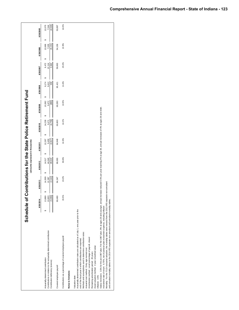|                                                                                                                                                                                                                                                                                                                                                                                                                                                                                                                                                                                                                                                                                                                                                                                                                                                                                                                                              | Schedule of |                                          |                              | (amounts expressed in thousands) |    |                                   | Contributions for the State Police Retirement Fund                                                 |                                |                             |                          |                                   |                                 |
|----------------------------------------------------------------------------------------------------------------------------------------------------------------------------------------------------------------------------------------------------------------------------------------------------------------------------------------------------------------------------------------------------------------------------------------------------------------------------------------------------------------------------------------------------------------------------------------------------------------------------------------------------------------------------------------------------------------------------------------------------------------------------------------------------------------------------------------------------------------------------------------------------------------------------------------------|-------------|------------------------------------------|------------------------------|----------------------------------|----|-----------------------------------|----------------------------------------------------------------------------------------------------|--------------------------------|-----------------------------|--------------------------|-----------------------------------|---------------------------------|
|                                                                                                                                                                                                                                                                                                                                                                                                                                                                                                                                                                                                                                                                                                                                                                                                                                                                                                                                              | 6/30/2014   |                                          | 6/30/2013                    | 6/30/2012                        |    | 6/30/2011                         | 6/30/2010                                                                                          | 6/30/2009                      | 6/30/2008                   | 6/30/2007                | 6/30/2006                         | 6/30/2005                       |
| Contributions in relation to the actuarially determined contribution<br>Actuarially determined contribution<br>Contribution deficiency (excess)                                                                                                                                                                                                                                                                                                                                                                                                                                                                                                                                                                                                                                                                                                                                                                                              |             | မာ<br>$\frac{10,603}{(3,266)}$<br>13,869 | (2, 142)<br>14,509<br>12,367 | 44,040<br>29,523<br>14,517<br>မာ | 69 | မာ<br>(2, 817)<br>9,450<br>12,267 | (4, 759)<br>14,230<br>9,471                                                                        | (890)<br>10,362<br>9,472<br>မာ | 9,174<br>9,412<br>238<br>မာ | 9,472<br>12,114<br>2,642 | 12,666<br>(5, 131)<br>7,535<br>မာ | (4,526)<br>12,070<br>7,544<br>↮ |
| Covered employee payroll                                                                                                                                                                                                                                                                                                                                                                                                                                                                                                                                                                                                                                                                                                                                                                                                                                                                                                                     |             | 68,490                                   | 64,347                       | 66,083                           |    | 64,948                            | 66,603                                                                                             | 68,283                         | 65,421                      | 59,863                   | 54,156                            | 53,897                          |
| Contributions as a percentage of covered employee payroll                                                                                                                                                                                                                                                                                                                                                                                                                                                                                                                                                                                                                                                                                                                                                                                                                                                                                    |             | 15.5%                                    | 19.2%                        | 66.6%                            |    | 14.6%                             | 14.2%                                                                                              | 13.9%                          | 14.4%                       | 20.2%                    | 13.9%                             | 14.0%                           |
| Mortality: For the 7/1/14 actuarial valuation, the mortality tables were revised from the 2013 IRS separate non-annuitant<br>Salary increases: 3.5% for the pre-1987 plan; For the 1987 plan, 9% at ages 26 and younger, annual<br>and annuitant mortality tables to the 2014 IRS separate non-annuitant and annuitant mortality tables.<br>Investment rate of return: 6.75%, net of pension plan investment expense, including inflation<br>Actuarially determined contribution rates are calculated as of July 1, one year prior to the<br>Methods and assumptions used to determine contribution rates:<br>Amortization method: Level percentage of payroll, dosed<br>end of the fiscal year in which contributions are reported.<br>Asset valuation method: 4 year smoothed value<br>Actuarial cost method: Entry age normal cost<br>Remaining amortization period: 26 years<br>Notes to Schedule:<br>Valuation date:<br>Inflation: 3.5% |             |                                          |                              |                                  |    |                                   | increase reduced 0.5% per year reaching 4% at age 36, annual increases of 4% at ages 36 and older. |                                |                             |                          |                                   |                                 |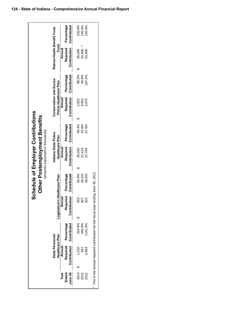|                      |                                           |                           |                                                                                    |                                    | Schedule of Employer Contributions<br>Other Postemployment Benefits<br>(amounts expressed in thousands) |                           |                                                   |                           |                                      |                           |
|----------------------|-------------------------------------------|---------------------------|------------------------------------------------------------------------------------|------------------------------------|---------------------------------------------------------------------------------------------------------|---------------------------|---------------------------------------------------|---------------------------|--------------------------------------|---------------------------|
|                      | <b>State Personnel</b><br>Healthcare Plan |                           | Legislature's                                                                      | Healthcare Plan                    | Indiana State Police<br>Healthcare Plan                                                                 |                           | Conservation and Excise<br>Police Healthcare Plan |                           | Retiree Health Benefit Trust<br>Fund |                           |
| Year                 | Annual                                    |                           | Annual                                                                             |                                    | Annual                                                                                                  |                           | Annual                                            |                           | Annual                               |                           |
| June 30<br>Ended     | Required<br>Contribution                  | Percentage<br>Contributed | Contribution                                                                       | Required Percentage<br>Contributed | Required<br>Contribution                                                                                | Percentage<br>Contributed | Required<br>Contribution                          | Percentage<br>Contributed | Required<br>Contribution             | Percentage<br>Contributed |
|                      |                                           |                           |                                                                                    |                                    |                                                                                                         |                           |                                                   |                           |                                      |                           |
|                      | 1,010                                     | 316.9%                    | $\breve{\vec{z}}$                                                                  | 62.8%                              | 26,030                                                                                                  | 95.4%                     | 2,822<br>ക                                        | 88.0%                     | 38,200                               | 00.0%                     |
| ភ្នំ<br>ភូមិ<br>ភូមិ | 941                                       | 446.9%                    | 2                                                                                  | 64.5%                              | 27,419                                                                                                  | 42.6%                     | 3,053                                             | 94.8%                     | 34,400                               | 100.0%                    |
|                      | 2.964                                     | 141.9%                    | Ю<br>$\overline{\infty}$                                                           | 59.9%                              | 27,794                                                                                                  | 67.0%                     | 3,675                                             | 187.5%                    | 34,400                               | 100.0%                    |
|                      |                                           |                           | This is the annual required contribution for the fiscal year ending June 30, 2012. |                                    |                                                                                                         |                           |                                                   |                           |                                      |                           |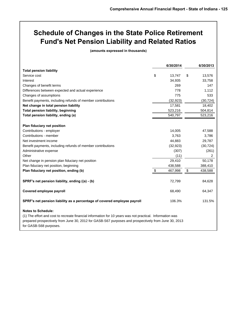## **Schedule of Changes in the State Police Retirement Fund's Net Pension Liability and Related Ratios**

**(amounts expressed in thousands)**

|                                                                                                                                                                                                                                                                          | 6/30/2014     | 6/30/2013      |
|--------------------------------------------------------------------------------------------------------------------------------------------------------------------------------------------------------------------------------------------------------------------------|---------------|----------------|
| <b>Total pension liability</b>                                                                                                                                                                                                                                           |               |                |
| Service cost                                                                                                                                                                                                                                                             | \$<br>13,747  | \$<br>13,576   |
| Interest                                                                                                                                                                                                                                                                 | 34,935        | 33,758         |
| Changes of benefit terms                                                                                                                                                                                                                                                 | 269           | 147            |
| Differences between expected and actual experience                                                                                                                                                                                                                       | 778           | 1,112          |
| Changes of assumptions                                                                                                                                                                                                                                                   | 775           | 533            |
| Benefit payments, including refunds of member contributions                                                                                                                                                                                                              | (32, 923)     | (30, 724)      |
| Net change in total pension liability                                                                                                                                                                                                                                    | 17,581        | 18,402         |
| <b>Total pension liability, beginning</b>                                                                                                                                                                                                                                | 523,216       | 504,814        |
| Total pension liability, ending (a)                                                                                                                                                                                                                                      | 540,797       | 523,216        |
|                                                                                                                                                                                                                                                                          |               |                |
| Plan fiduciary net position                                                                                                                                                                                                                                              |               |                |
| Contributions - employer                                                                                                                                                                                                                                                 | 14,005        | 47,588         |
| Contributions - member                                                                                                                                                                                                                                                   | 3,763         | 3,786          |
| Net investment income                                                                                                                                                                                                                                                    | 44,883        | 29,787         |
| Benefit payments, including refunds of member contributions                                                                                                                                                                                                              | (32, 923)     | (30, 724)      |
| Administrative expense                                                                                                                                                                                                                                                   | (307)         | (261)          |
| Other                                                                                                                                                                                                                                                                    | (11)          | $\overline{2}$ |
| Net change in pension plan fiduciary net position                                                                                                                                                                                                                        | 29,410        | 50,178         |
| Plan fiduciary net position, beginning                                                                                                                                                                                                                                   | 438,588       | 388,410        |
| Plan fiduciary net position, ending (b)                                                                                                                                                                                                                                  | \$<br>467,998 | \$<br>438,588  |
| SPRF's net pension liability, ending ((a) - (b)                                                                                                                                                                                                                          | 72,799        | 84,628         |
| Covered employee payroll                                                                                                                                                                                                                                                 | 68,490        | 64,347         |
| SPRF's net pension liability as a percentage of covered employee payroll                                                                                                                                                                                                 | 106.3%        | 131.5%         |
| <b>Notes to Schedule:</b><br>(1) The effort and cost to recreate financial information for 10 years was not practical. Information was<br>prepared prospectively from June 30, 2012 for GASB-S67 purposes and prospectively from June 30, 2013<br>for GASB-S68 purposes. |               |                |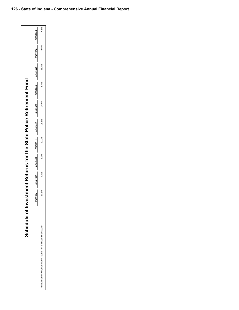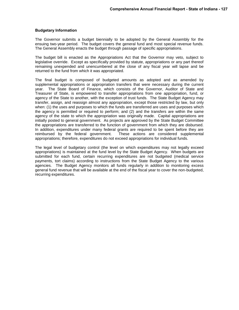#### **Budgetary Information**

The Governor submits a budget biennially to be adopted by the General Assembly for the ensuing two-year period. The budget covers the general fund and most special revenue funds. The General Assembly enacts the budget through passage of specific appropriations.

The budget bill is enacted as the Appropriations Act that the Governor may veto, subject to legislative override. Except as specifically provided by statute, appropriations or any part thereof remaining unexpended and unencumbered at the close of any fiscal year will lapse and be returned to the fund from which it was appropriated.

The final budget is composed of budgeted amounts as adopted and as amended by supplemental appropriations or appropriation transfers that were necessary during the current year. The State Board of Finance, which consists of the Governor, Auditor of State and Treasurer of State, is empowered to transfer appropriations from one appropriation, fund, or agency of the State to another, with the exception of trust funds. The State Budget Agency may transfer, assign, and reassign almost any appropriation, except those restricted by law, but only when: (1) the uses and purposes to which the funds are transferred are uses and purposes which the agency is permitted or required to perform; and (2) and the transfers are within the same agency of the state to which the appropriation was originally made. Capital appropriations are initially posted to general government. As projects are approved by the State Budget Committee the appropriations are transferred to the function of government from which they are disbursed. In addition, expenditures under many federal grants are required to be spent before they are reimbursed by the federal government. These actions are considered supplemental appropriations; therefore, expenditures do not exceed appropriations for individual funds.

The legal level of budgetary control (the level on which expenditures may not legally exceed appropriations) is maintained at the fund level by the State Budget Agency. When budgets are submitted for each fund, certain recurring expenditures are not budgeted (medical service payments, tort claims) according to instructions from the State Budget Agency to the various agencies. The Budget Agency monitors all funds regularly in addition to monitoring excess general fund revenue that will be available at the end of the fiscal year to cover the non-budgeted, recurring expenditures.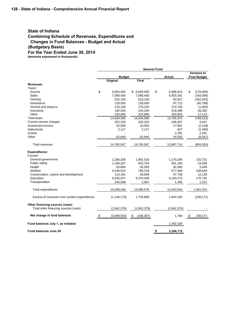### **State of Indiana Combining Schedule of Revenues, Expenditures and Changes in Fund Balances - Budget and Actual (Budgetary Basis) For the Year Ended June 30, 2014 (amounts expressed in thousands)**

**General Fund Variance to Budget Actual Final Budget Original Final Revenues:** Taxes: Income \$ 6,063,000 \$ 6,063,000 \$ 5,886,915 \$ (176,085) Sales 7,088,400 7,088,400 6,925,301 (163,099) Gaming 523,100 523,100 60,557 (462,543) Inheritance 128,500 128,500 87,712 (40,788) Alcohol and tobacco 276,100 276,100 274,700 (1,400) Insurance 192,200 192,200 218,485 26,285 Other 233,690 233,690 250,803 17,113 Total taxes 14,504,990 14,504,990 13,705,975 (799,015) Current service charges 202,320 202,320 206,367 4,047 Investment income 20,000 20,000 17,861 (2,139) Sales/rents 2,117 2,117 627 (1,490) Grants - 2,291 2,291 2,291 2,291 2,291 2,291 2,291 2,291 2,291 2,291 2,291 2,291 2,291 2,291 2,291 2,291 2,291 Other 62,640 62,640 54,593 (8,047) 62,640 54,593 (8,047) Total revenues 684,353 (804,353) 14,792,067 14,792,067 14,792,067 13,987,714 (804,353) **Expenditures:** Current: General government 1,256,309 1,891,016 1,170,284 720,732 Public safety 1,196,297 920,794 901,195 19,599 Health 54,804 45,509 42,060 3,449 Welfare 3,548,010 786,218 677,569 108,649 Conservation, culture and development 113,191 69,846 57,708 12,138 Education 9,526,037 9,370,008 9,193,273 176,735 Transportation 243,598 2,687 1,465 1,222 Total expenditures 15,938,246 13,086,078 12,043,554 1,042,524 Excess of revenues over (under) expenditures (1,146,179) 1,705,989 1,944,160 (238,171) **Other financing sources (uses):** Total other financing sources (uses) (1,942,376) (1,942,376) (1,942,376) (1,942,376) **Net change in fund balances**  $\text{\$}$  (3,088,555)  $\text{\$}$  (236,387) 1,784  $\text{\$}$  238,171 **Fund balances July 1, as restated** 2,392,328 **Fund balances June 30 \$ 2,394,112**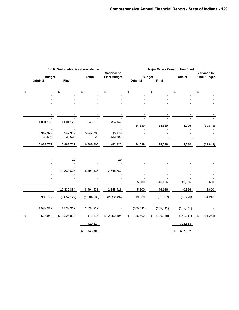|                 | <b>Public Welfare-Medicaid Assistance</b> |               |                                    |                 |                  | <b>Major Moves Construction Fund</b> |                                    |  |  |
|-----------------|-------------------------------------------|---------------|------------------------------------|-----------------|------------------|--------------------------------------|------------------------------------|--|--|
| <b>Budget</b>   |                                           | <b>Actual</b> | Variance to<br><b>Final Budget</b> |                 | <b>Budget</b>    | <b>Actual</b>                        | Variance to<br><b>Final Budget</b> |  |  |
| Original        | Final                                     |               |                                    | Original        | Final            |                                      |                                    |  |  |
| \$              | \$                                        | \$            | \$                                 | \$              | \$               | \$                                   | \$                                 |  |  |
|                 |                                           |               |                                    |                 |                  |                                      |                                    |  |  |
|                 |                                           |               |                                    |                 |                  |                                      |                                    |  |  |
|                 |                                           |               |                                    |                 |                  |                                      |                                    |  |  |
|                 |                                           |               |                                    |                 |                  |                                      |                                    |  |  |
|                 |                                           |               |                                    |                 |                  |                                      |                                    |  |  |
| 1,001,125       | 1,001,125                                 | 946,978       | (54, 147)                          |                 |                  |                                      |                                    |  |  |
|                 |                                           |               |                                    | 24,639          | 24,639           | 4,796                                | (19, 843)                          |  |  |
| 5,947,972       | 5,947,972                                 | 5,942,798     | (5, 174)                           |                 |                  |                                      |                                    |  |  |
| 33,630          | 33,630                                    | 29            | (33,601)                           |                 |                  |                                      |                                    |  |  |
| 6,982,727       | 6,982,727                                 | 6,889,805     | (92, 922)                          | 24,639          | 24,639           | 4,796                                | (19, 843)                          |  |  |
|                 | 29                                        |               | 29                                 |                 |                  |                                      |                                    |  |  |
|                 |                                           |               |                                    |                 |                  |                                      |                                    |  |  |
|                 |                                           |               |                                    |                 |                  |                                      |                                    |  |  |
|                 | 10,839,825                                | 8,494,438     | 2,345,387                          |                 |                  |                                      |                                    |  |  |
|                 |                                           |               |                                    |                 |                  |                                      |                                    |  |  |
|                 |                                           |               |                                    | 5,600           | 46,166           | 40,566                               | 5,600                              |  |  |
|                 | 10,839,854                                | 8,494,438     | 2,345,416                          | 5,600           | 46,166           | 40,566                               | 5,600                              |  |  |
| 6,982,727       | (3,857,127)                               | (1,604,633)   | (2, 252, 494)                      | 19,039          | (21, 527)        | (35, 770)                            | 14,243                             |  |  |
| 1,532,317       | 1,532,317                                 | 1,532,317     |                                    | (105, 441)      | (105, 441)       | (105, 441)                           |                                    |  |  |
| \$<br>8,515,044 | \$ (2,324,810)                            | (72, 316)     | \$2,252,494                        | (86, 402)<br>\$ | (126, 968)<br>\$ | (141, 211)                           | \$<br>(14, 243)                    |  |  |
|                 |                                           | 420,624       |                                    |                 |                  | 778,513                              |                                    |  |  |
|                 |                                           | 348,308<br>\$ |                                    |                 |                  | 637,302<br>\$                        |                                    |  |  |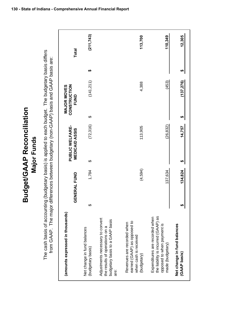The cash basis of accounting (budgetary basis) is applied to each budget. The budgetary basis differs<br>from GAAP. The major differences between budgetary (non-GAAP) basis and GAAP basis are: The cash basis of accounting (budgetary basis) is applied to each budget. The budgetary basis differs from GAAP. The major differences between budgetary (non-GAAP) basis and GAAP basis are:

**Budget/GAAP Reconciliation**

**Budget/GAAP Reconciliation** 

**Major Funds**

**Major Funds** 

| (amounts expressed in thousands)                                                                                        |    | <b>GENERAL FUND</b> | <b>MEDICAID ASSIS</b> | <b>PUBLIC WELFARE-</b> |   | CONSTRUCTION<br>MAJOR MOVES<br><b>FUND</b> |   | <b>Total</b> |
|-------------------------------------------------------------------------------------------------------------------------|----|---------------------|-----------------------|------------------------|---|--------------------------------------------|---|--------------|
| Net change in fund balances<br>(budgetary basis)                                                                        | ക  | 1,784               | ↔                     | (72, 316)              | ↔ | (141, 211)                                 | ↮ | (211, 743)   |
| Adjustments necessary to convert<br>budgetary basis to a GAAP basis<br>the results of operations on a<br>are:           |    |                     |                       |                        |   |                                            |   |              |
| earned (GAAP) as opposed to<br>Revenues are recorded when<br>when cash is received<br>(budgetary)                       |    | (4,594)             |                       | 113,905                |   | 4,388                                      |   | 113,700      |
| the liability is incurred (GAAP) as<br>Expenditures are recorded when<br>opposed to when payment is<br>made (budgetary) |    | 137,634             |                       | (26, 832)              |   | (453)                                      |   | 110,349      |
| Net change in fund balances<br>(GAAP basis)                                                                             | ∞∥ | 134,824             |                       | 14,757                 | H | 137,276)                                   | ↮ | 12,305       |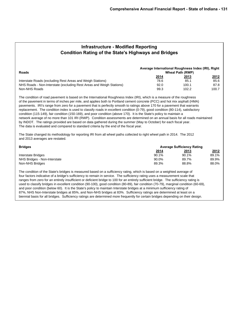| <b>Infrastructure - Modified Reporting</b>                  |
|-------------------------------------------------------------|
| <b>Condition Rating of the State's Highways and Bridges</b> |

| <b>Roads</b>                                                         | Average International Roughness Index (IRI), Right | <b>Wheal Path (RWP)</b> |             |
|----------------------------------------------------------------------|----------------------------------------------------|-------------------------|-------------|
|                                                                      | <u> 2014</u>                                       | <u> 2013</u>            | <u>2012</u> |
| Interstate Roads (excluding Rest Areas and Weigh Stations)           | 78.6                                               | 85.1                    | 85.6        |
| NHS Roads - Non-Interstate (excluding Rest Areas and Weigh Stations) | 92.0                                               | 100.1                   | 87.8        |
| Non-NHS Roads                                                        | 99.3                                               | 102.2                   | 100.7       |

The condition of road pavement is based on the International Roughness Index (IRI), which is a measure of the roughness of the pavement in terms of inches per mile, and applies both to Portland cement concrete (PCC) and hot mix asphalt (HMA) pavements. IRI's range from zero for a pavement that is perfectly smooth to ratings above 170 for a pavement that warrants replacement. The condition index is used to classify roads in excellent condition (0-79), good condition (80-114), satisfactory condition (115-149), fair condition (150-169), and poor condition (above 170). It is the State's policy to maintain a network average of no more than 101 IRI (RWP). Condition assessments are determined on an annual basis for all roads maintained by INDOT. The ratings provided are based on data gathered during the summer (May to October) for each fiscal year. The data is evaluated and compared to standard criteria by the end of the fiscal year.

The State changed its methodology for reporting IRI from all wheel paths collected to right wheel path in 2014. The 2012 and 2013 averages are restated.

| <b>Bridges</b>               |              | <b>Average Sufficiency Rating</b> |       |
|------------------------------|--------------|-----------------------------------|-------|
|                              | <u> 2014</u> | <u> 2013</u>                      | 2012  |
| Interstate Bridges           | 90.1%        | 90.1%                             | 89.1% |
| NHS Bridges - Non-Interstate | 90.0%        | 89.7%                             | 89.9% |
| Non-NHS Bridges              | 89.3%        | 88.8%                             | 88.0% |

The condition of the State's bridges is measured based on a sufficiency rating, which is based on a weighted average of four factors indicative of a bridge's sufficiency to remain in service. The sufficiency rating uses a measurement scale that ranges from zero for an entirely insufficient or deficient bridge to 100 for an entirely sufficient bridge. The sufficiency rating is used to classify bridges in excellent condition (90-100), good condition (80-89), fair condition (70-79), marginal condition (60-69), and poor condition (below 60). It is the State's policy to maintain Interstate bridges at a minimum sufficiency rating of 87%, NHS Non-Interstate bridges at 85%, and Non-NHS bridges at 83%. Sufficiency ratings are determined at least on a biennial basis for all bridges. Sufficiency ratings are determined more frequently for certain bridges depending on their design.